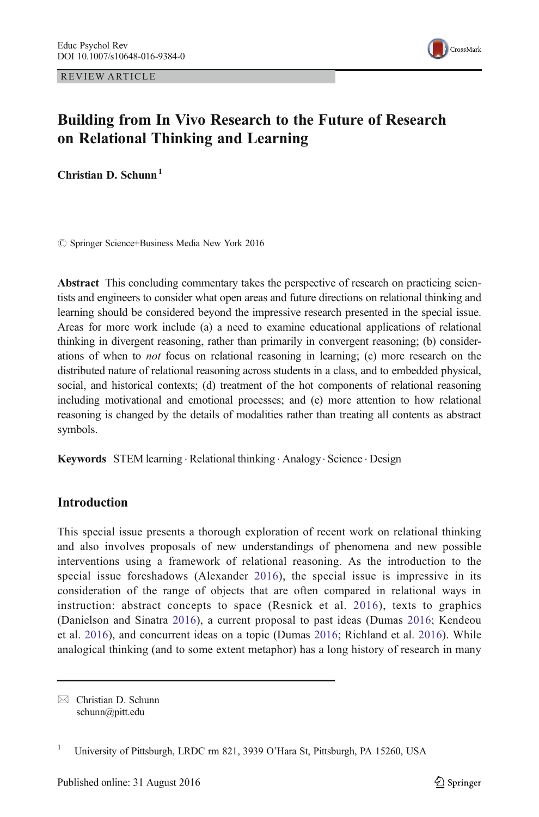REVIEW ARTICLE



# Building from In Vivo Research to the Future of Research on Relational Thinking and Learning

Christian D. Schunn<sup>1</sup>

© Springer Science+Business Media New York 2016

Abstract This concluding commentary takes the perspective of research on practicing scientists and engineers to consider what open areas and future directions on relational thinking and learning should be considered beyond the impressive research presented in the special issue. Areas for more work include (a) a need to examine educational applications of relational thinking in divergent reasoning, rather than primarily in convergent reasoning; (b) considerations of when to not focus on relational reasoning in learning; (c) more research on the distributed nature of relational reasoning across students in a class, and to embedded physical, social, and historical contexts; (d) treatment of the hot components of relational reasoning including motivational and emotional processes; and (e) more attention to how relational reasoning is changed by the details of modalities rather than treating all contents as abstract symbols.

Keywords STEM learning · Relational thinking · Analogy · Science · Design

# **Introduction**

This special issue presents a thorough exploration of recent work on relational thinking and also involves proposals of new understandings of phenomena and new possible interventions using a framework of relational reasoning. As the introduction to the special issue foreshadows (Alexander [2016](#page-5-0)), the special issue is impressive in its consideration of the range of objects that are often compared in relational ways in instruction: abstract concepts to space (Resnick et al. [2016\)](#page-7-0), texts to graphics (Danielson and Sinatra [2016](#page-6-0)), a current proposal to past ideas (Dumas [2016;](#page-6-0) Kendeou et al. [2016](#page-6-0)), and concurrent ideas on a topic (Dumas [2016;](#page-6-0) Richland et al. [2016\)](#page-7-0). While analogical thinking (and to some extent metaphor) has a long history of research in many

 $\boxtimes$  Christian D. Schunn schunn@pitt.edu

<sup>&</sup>lt;sup>1</sup> University of Pittsburgh, LRDC rm 821, 3939 O'Hara St, Pittsburgh, PA 15260, USA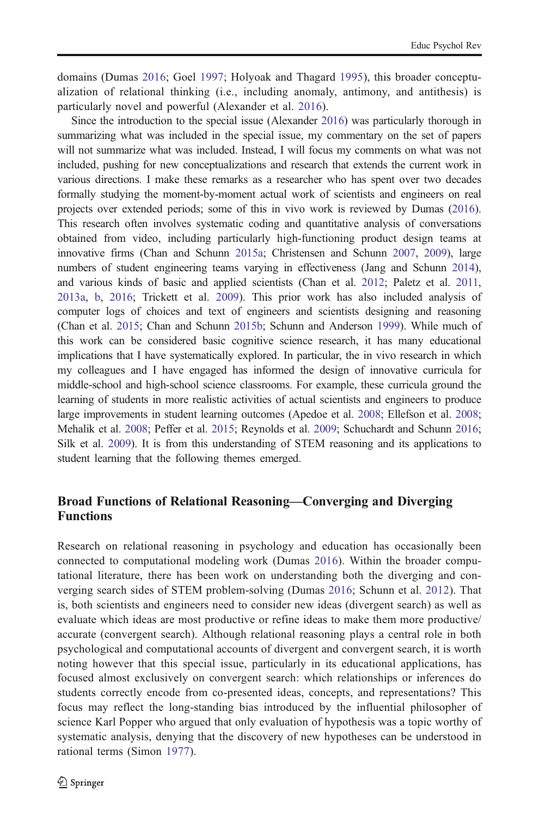domains (Dumas [2016](#page-6-0); Goel [1997](#page-6-0); Holyoak and Thagard [1995](#page-6-0)), this broader conceptualization of relational thinking (i.e., including anomaly, antimony, and antithesis) is particularly novel and powerful (Alexander et al. [2016\)](#page-5-0).

Since the introduction to the special issue (Alexander [2016\)](#page-5-0) was particularly thorough in summarizing what was included in the special issue, my commentary on the set of papers will not summarize what was included. Instead, I will focus my comments on what was not included, pushing for new conceptualizations and research that extends the current work in various directions. I make these remarks as a researcher who has spent over two decades formally studying the moment-by-moment actual work of scientists and engineers on real projects over extended periods; some of this in vivo work is reviewed by Dumas ([2016](#page-6-0)). This research often involves systematic coding and quantitative analysis of conversations obtained from video, including particularly high-functioning product design teams at innovative firms (Chan and Schunn [2015a;](#page-6-0) Christensen and Schunn [2007,](#page-6-0) [2009](#page-6-0)), large numbers of student engineering teams varying in effectiveness (Jang and Schunn [2014](#page-6-0)), and various kinds of basic and applied scientists (Chan et al. [2012;](#page-6-0) Paletz et al. [2011](#page-7-0), [2013a,](#page-7-0) [b,](#page-7-0) [2016](#page-7-0); Trickett et al. [2009\)](#page-7-0). This prior work has also included analysis of computer logs of choices and text of engineers and scientists designing and reasoning (Chan et al. [2015;](#page-6-0) Chan and Schunn [2015b](#page-6-0); Schunn and Anderson [1999](#page-7-0)). While much of this work can be considered basic cognitive science research, it has many educational implications that I have systematically explored. In particular, the in vivo research in which my colleagues and I have engaged has informed the design of innovative curricula for middle-school and high-school science classrooms. For example, these curricula ground the learning of students in more realistic activities of actual scientists and engineers to produce large improvements in student learning outcomes (Apedoe et al. [2008](#page-5-0); Ellefson et al. [2008](#page-6-0); Mehalik et al. [2008](#page-7-0); Peffer et al. [2015](#page-7-0); Reynolds et al. [2009;](#page-7-0) Schuchardt and Schunn [2016](#page-7-0); Silk et al. [2009\)](#page-7-0). It is from this understanding of STEM reasoning and its applications to student learning that the following themes emerged.

# Broad Functions of Relational Reasoning—Converging and Diverging Functions

Research on relational reasoning in psychology and education has occasionally been connected to computational modeling work (Dumas [2016\)](#page-6-0). Within the broader computational literature, there has been work on understanding both the diverging and converging search sides of STEM problem-solving (Dumas [2016](#page-6-0); Schunn et al. [2012\)](#page-7-0). That is, both scientists and engineers need to consider new ideas (divergent search) as well as evaluate which ideas are most productive or refine ideas to make them more productive/ accurate (convergent search). Although relational reasoning plays a central role in both psychological and computational accounts of divergent and convergent search, it is worth noting however that this special issue, particularly in its educational applications, has focused almost exclusively on convergent search: which relationships or inferences do students correctly encode from co-presented ideas, concepts, and representations? This focus may reflect the long-standing bias introduced by the influential philosopher of science Karl Popper who argued that only evaluation of hypothesis was a topic worthy of systematic analysis, denying that the discovery of new hypotheses can be understood in rational terms (Simon [1977\)](#page-7-0).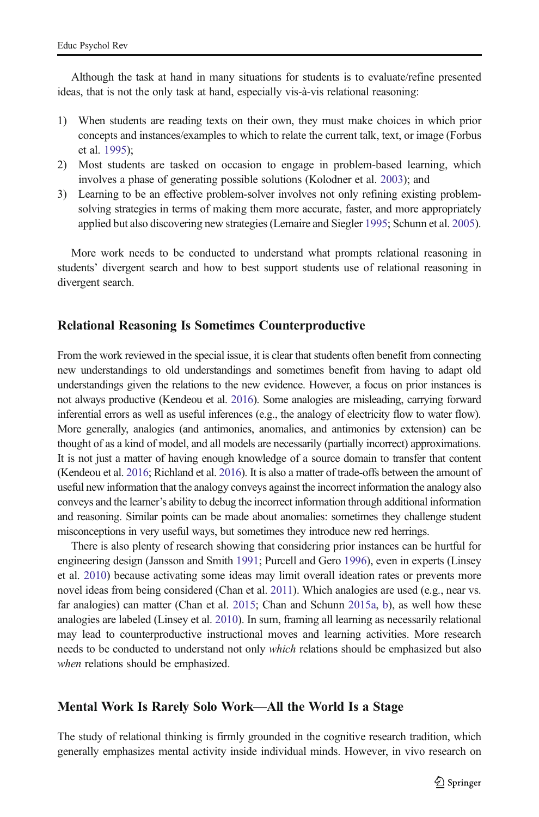Although the task at hand in many situations for students is to evaluate/refine presented ideas, that is not the only task at hand, especially vis-à-vis relational reasoning:

- 1) When students are reading texts on their own, they must make choices in which prior concepts and instances/examples to which to relate the current talk, text, or image (Forbus et al. [1995](#page-6-0));
- 2) Most students are tasked on occasion to engage in problem-based learning, which involves a phase of generating possible solutions (Kolodner et al. [2003\)](#page-6-0); and
- 3) Learning to be an effective problem-solver involves not only refining existing problemsolving strategies in terms of making them more accurate, faster, and more appropriately applied but also discovering new strategies (Lemaire and Siegler [1995](#page-6-0); Schunn et al. [2005](#page-7-0)).

More work needs to be conducted to understand what prompts relational reasoning in students' divergent search and how to best support students use of relational reasoning in divergent search.

# Relational Reasoning Is Sometimes Counterproductive

From the work reviewed in the special issue, it is clear that students often benefit from connecting new understandings to old understandings and sometimes benefit from having to adapt old understandings given the relations to the new evidence. However, a focus on prior instances is not always productive (Kendeou et al. [2016\)](#page-6-0). Some analogies are misleading, carrying forward inferential errors as well as useful inferences (e.g., the analogy of electricity flow to water flow). More generally, analogies (and antimonies, anomalies, and antimonies by extension) can be thought of as a kind of model, and all models are necessarily (partially incorrect) approximations. It is not just a matter of having enough knowledge of a source domain to transfer that content (Kendeou et al. [2016](#page-6-0); Richland et al. [2016\)](#page-7-0). It is also a matter of trade-offs between the amount of useful new information that the analogy conveys against the incorrect information the analogy also conveys and the learner's ability to debug the incorrect information through additional information and reasoning. Similar points can be made about anomalies: sometimes they challenge student misconceptions in very useful ways, but sometimes they introduce new red herrings.

There is also plenty of research showing that considering prior instances can be hurtful for engineering design (Jansson and Smith [1991](#page-6-0); Purcell and Gero [1996](#page-7-0)), even in experts (Linsey et al. [2010\)](#page-7-0) because activating some ideas may limit overall ideation rates or prevents more novel ideas from being considered (Chan et al. [2011\)](#page-6-0). Which analogies are used (e.g., near vs. far analogies) can matter (Chan et al. [2015](#page-6-0); Chan and Schunn [2015a,](#page-6-0) [b\)](#page-6-0), as well how these analogies are labeled (Linsey et al. [2010\)](#page-7-0). In sum, framing all learning as necessarily relational may lead to counterproductive instructional moves and learning activities. More research needs to be conducted to understand not only *which* relations should be emphasized but also when relations should be emphasized.

#### Mental Work Is Rarely Solo Work—All the World Is a Stage

The study of relational thinking is firmly grounded in the cognitive research tradition, which generally emphasizes mental activity inside individual minds. However, in vivo research on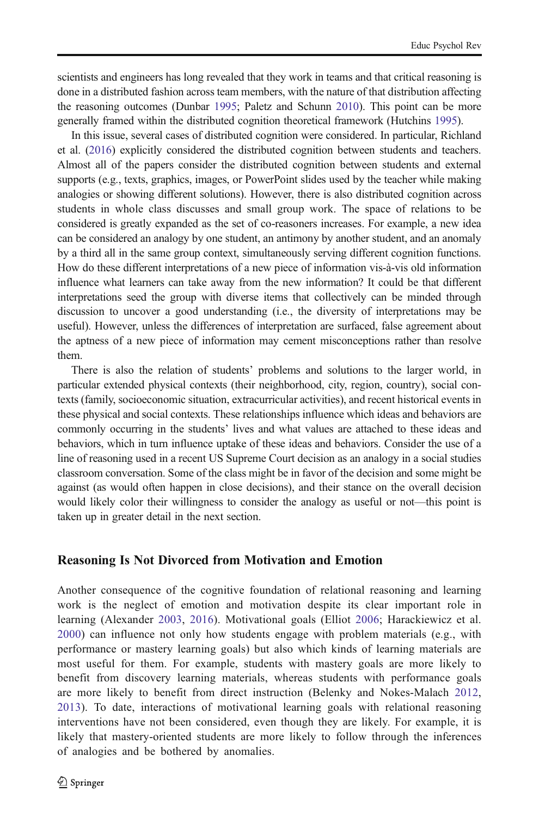scientists and engineers has long revealed that they work in teams and that critical reasoning is done in a distributed fashion across team members, with the nature of that distribution affecting the reasoning outcomes (Dunbar [1995](#page-6-0); Paletz and Schunn [2010\)](#page-7-0). This point can be more generally framed within the distributed cognition theoretical framework (Hutchins [1995\)](#page-6-0).

In this issue, several cases of distributed cognition were considered. In particular, Richland et al. ([2016](#page-7-0)) explicitly considered the distributed cognition between students and teachers. Almost all of the papers consider the distributed cognition between students and external supports (e.g., texts, graphics, images, or PowerPoint slides used by the teacher while making analogies or showing different solutions). However, there is also distributed cognition across students in whole class discusses and small group work. The space of relations to be considered is greatly expanded as the set of co-reasoners increases. For example, a new idea can be considered an analogy by one student, an antimony by another student, and an anomaly by a third all in the same group context, simultaneously serving different cognition functions. How do these different interpretations of a new piece of information vis-à-vis old information influence what learners can take away from the new information? It could be that different interpretations seed the group with diverse items that collectively can be minded through discussion to uncover a good understanding (i.e., the diversity of interpretations may be useful). However, unless the differences of interpretation are surfaced, false agreement about the aptness of a new piece of information may cement misconceptions rather than resolve them.

There is also the relation of students' problems and solutions to the larger world, in particular extended physical contexts (their neighborhood, city, region, country), social contexts (family, socioeconomic situation, extracurricular activities), and recent historical events in these physical and social contexts. These relationships influence which ideas and behaviors are commonly occurring in the students' lives and what values are attached to these ideas and behaviors, which in turn influence uptake of these ideas and behaviors. Consider the use of a line of reasoning used in a recent US Supreme Court decision as an analogy in a social studies classroom conversation. Some of the class might be in favor of the decision and some might be against (as would often happen in close decisions), and their stance on the overall decision would likely color their willingness to consider the analogy as useful or not—this point is taken up in greater detail in the next section.

#### Reasoning Is Not Divorced from Motivation and Emotion

Another consequence of the cognitive foundation of relational reasoning and learning work is the neglect of emotion and motivation despite its clear important role in learning (Alexander [2003,](#page-5-0) [2016](#page-5-0)). Motivational goals (Elliot [2006](#page-6-0); Harackiewicz et al. [2000](#page-6-0)) can influence not only how students engage with problem materials (e.g., with performance or mastery learning goals) but also which kinds of learning materials are most useful for them. For example, students with mastery goals are more likely to benefit from discovery learning materials, whereas students with performance goals are more likely to benefit from direct instruction (Belenky and Nokes-Malach [2012](#page-6-0), [2013](#page-6-0)). To date, interactions of motivational learning goals with relational reasoning interventions have not been considered, even though they are likely. For example, it is likely that mastery-oriented students are more likely to follow through the inferences of analogies and be bothered by anomalies.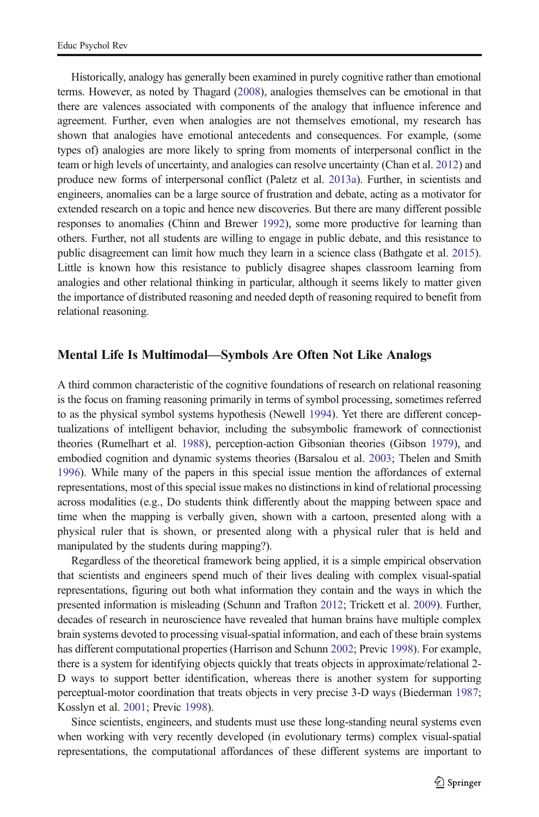Historically, analogy has generally been examined in purely cognitive rather than emotional terms. However, as noted by Thagard ([2008](#page-7-0)), analogies themselves can be emotional in that there are valences associated with components of the analogy that influence inference and agreement. Further, even when analogies are not themselves emotional, my research has shown that analogies have emotional antecedents and consequences. For example, (some types of) analogies are more likely to spring from moments of interpersonal conflict in the team or high levels of uncertainty, and analogies can resolve uncertainty (Chan et al. [2012](#page-6-0)) and produce new forms of interpersonal conflict (Paletz et al. [2013a\)](#page-7-0). Further, in scientists and engineers, anomalies can be a large source of frustration and debate, acting as a motivator for extended research on a topic and hence new discoveries. But there are many different possible responses to anomalies (Chinn and Brewer [1992](#page-6-0)), some more productive for learning than others. Further, not all students are willing to engage in public debate, and this resistance to public disagreement can limit how much they learn in a science class (Bathgate et al. [2015](#page-6-0)). Little is known how this resistance to publicly disagree shapes classroom learning from analogies and other relational thinking in particular, although it seems likely to matter given the importance of distributed reasoning and needed depth of reasoning required to benefit from relational reasoning.

# Mental Life Is Multimodal—Symbols Are Often Not Like Analogs

A third common characteristic of the cognitive foundations of research on relational reasoning is the focus on framing reasoning primarily in terms of symbol processing, sometimes referred to as the physical symbol systems hypothesis (Newell [1994\)](#page-7-0). Yet there are different conceptualizations of intelligent behavior, including the subsymbolic framework of connectionist theories (Rumelhart et al. [1988\)](#page-7-0), perception-action Gibsonian theories (Gibson [1979](#page-6-0)), and embodied cognition and dynamic systems theories (Barsalou et al. [2003](#page-5-0); Thelen and Smith [1996](#page-7-0)). While many of the papers in this special issue mention the affordances of external representations, most of this special issue makes no distinctions in kind of relational processing across modalities (e.g., Do students think differently about the mapping between space and time when the mapping is verbally given, shown with a cartoon, presented along with a physical ruler that is shown, or presented along with a physical ruler that is held and manipulated by the students during mapping?).

Regardless of the theoretical framework being applied, it is a simple empirical observation that scientists and engineers spend much of their lives dealing with complex visual-spatial representations, figuring out both what information they contain and the ways in which the presented information is misleading (Schunn and Trafton [2012;](#page-7-0) Trickett et al. [2009\)](#page-7-0). Further, decades of research in neuroscience have revealed that human brains have multiple complex brain systems devoted to processing visual-spatial information, and each of these brain systems has different computational properties (Harrison and Schunn [2002](#page-6-0); Previc [1998\)](#page-7-0). For example, there is a system for identifying objects quickly that treats objects in approximate/relational 2- D ways to support better identification, whereas there is another system for supporting perceptual-motor coordination that treats objects in very precise 3-D ways (Biederman [1987](#page-6-0); Kosslyn et al. [2001](#page-6-0); Previc [1998](#page-7-0)).

Since scientists, engineers, and students must use these long-standing neural systems even when working with very recently developed (in evolutionary terms) complex visual-spatial representations, the computational affordances of these different systems are important to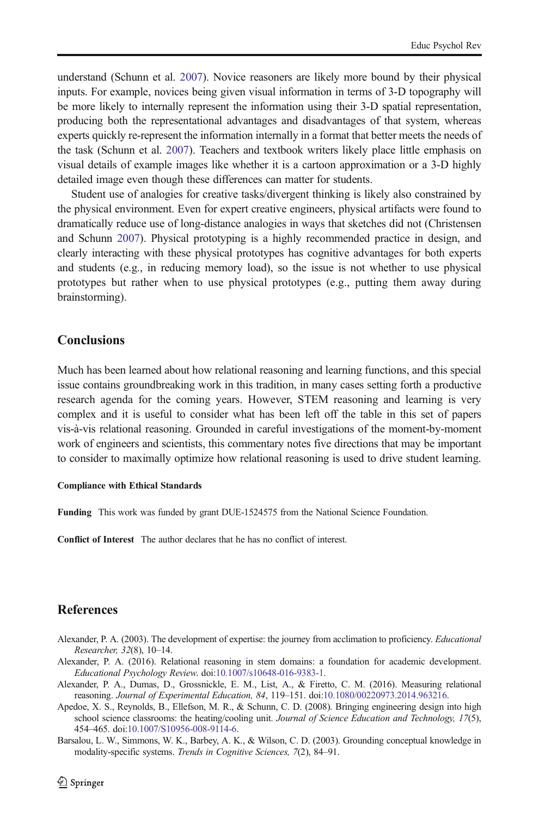<span id="page-5-0"></span>understand (Schunn et al. [2007](#page-7-0)). Novice reasoners are likely more bound by their physical inputs. For example, novices being given visual information in terms of 3-D topography will be more likely to internally represent the information using their 3-D spatial representation, producing both the representational advantages and disadvantages of that system, whereas experts quickly re-represent the information internally in a format that better meets the needs of the task (Schunn et al. [2007](#page-7-0)). Teachers and textbook writers likely place little emphasis on visual details of example images like whether it is a cartoon approximation or a 3-D highly detailed image even though these differences can matter for students.

Student use of analogies for creative tasks/divergent thinking is likely also constrained by the physical environment. Even for expert creative engineers, physical artifacts were found to dramatically reduce use of long-distance analogies in ways that sketches did not (Christensen and Schunn [2007](#page-6-0)). Physical prototyping is a highly recommended practice in design, and clearly interacting with these physical prototypes has cognitive advantages for both experts and students (e.g., in reducing memory load), so the issue is not whether to use physical prototypes but rather when to use physical prototypes (e.g., putting them away during brainstorming).

# **Conclusions**

Much has been learned about how relational reasoning and learning functions, and this special issue contains groundbreaking work in this tradition, in many cases setting forth a productive research agenda for the coming years. However, STEM reasoning and learning is very complex and it is useful to consider what has been left off the table in this set of papers vis-à-vis relational reasoning. Grounded in careful investigations of the moment-by-moment work of engineers and scientists, this commentary notes five directions that may be important to consider to maximally optimize how relational reasoning is used to drive student learning.

#### Compliance with Ethical Standards

Funding This work was funded by grant DUE-1524575 from the National Science Foundation.

Conflict of Interest The author declares that he has no conflict of interest.

# **References**

- Alexander, P. A. (2003). The development of expertise: the journey from acclimation to proficiency. Educational Researcher, 32(8), 10–14.
- Alexander, P. A. (2016). Relational reasoning in stem domains: a foundation for academic development. Educational Psychology Review. doi[:10.1007/s10648-016-9383-1.](http://dx.doi.org/10.1007/s10648-016-9383-1)
- Alexander, P. A., Dumas, D., Grossnickle, E. M., List, A., & Firetto, C. M. (2016). Measuring relational reasoning. Journal of Experimental Education, 84, 119–151. doi:[10.1080/00220973.2014.963216](http://dx.doi.org/10.1080/00220973.2014.963216).
- Apedoe, X. S., Reynolds, B., Ellefson, M. R., & Schunn, C. D. (2008). Bringing engineering design into high school science classrooms: the heating/cooling unit. Journal of Science Education and Technology, 17(5), 454–465. doi[:10.1007/S10956-008-9114-6.](http://dx.doi.org/10.1007/S10956-008-9114-6)
- Barsalou, L. W., Simmons, W. K., Barbey, A. K., & Wilson, C. D. (2003). Grounding conceptual knowledge in modality-specific systems. Trends in Cognitive Sciences, 7(2), 84–91.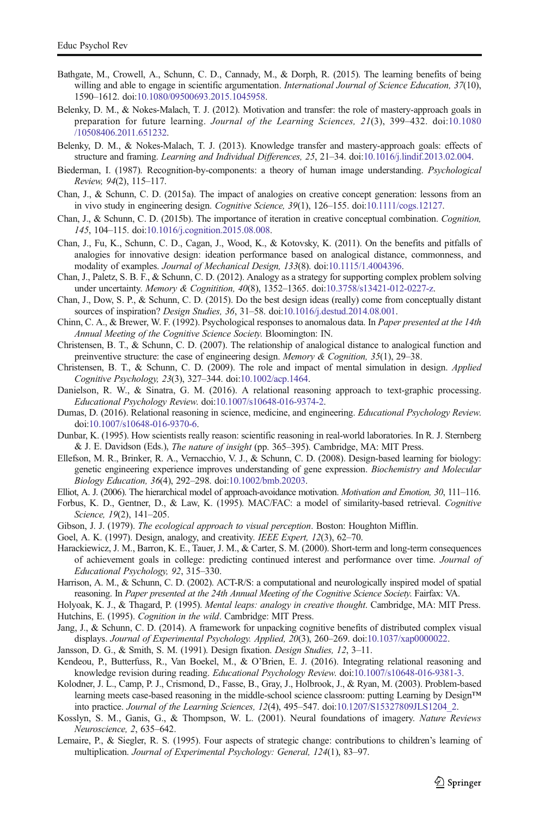- <span id="page-6-0"></span>Bathgate, M., Crowell, A., Schunn, C. D., Cannady, M., & Dorph, R. (2015). The learning benefits of being willing and able to engage in scientific argumentation. *International Journal of Science Education*, 37(10), 1590–1612. doi:[10.1080/09500693.2015.1045958](http://dx.doi.org/10.1080/09500693.2015.1045958).
- Belenky, D. M., & Nokes-Malach, T. J. (2012). Motivation and transfer: the role of mastery-approach goals in preparation for future learning. Journal of the Learning Sciences, 21(3), 399–432. doi:[10.1080](http://dx.doi.org/10.1080/10508406.2011.651232) [/10508406.2011.651232.](http://dx.doi.org/10.1080/10508406.2011.651232)
- Belenky, D. M., & Nokes-Malach, T. J. (2013). Knowledge transfer and mastery-approach goals: effects of structure and framing. Learning and Individual Differences, 25, 21–34. doi:[10.1016/j.lindif.2013.02.004.](http://dx.doi.org/10.1016/j.lindif.2013.02.004)
- Biederman, I. (1987). Recognition-by-components: a theory of human image understanding. Psychological Review, 94(2), 115–117.
- Chan, J., & Schunn, C. D. (2015a). The impact of analogies on creative concept generation: lessons from an in vivo study in engineering design. Cognitive Science, 39(1), 126–155. doi[:10.1111/cogs.12127.](http://dx.doi.org/10.1111/cogs.12127)
- Chan, J., & Schunn, C. D. (2015b). The importance of iteration in creative conceptual combination. Cognition, 145, 104–115. doi:[10.1016/j.cognition.2015.08.008](http://dx.doi.org/10.1016/j.cognition.2015.08.008).
- Chan, J., Fu, K., Schunn, C. D., Cagan, J., Wood, K., & Kotovsky, K. (2011). On the benefits and pitfalls of analogies for innovative design: ideation performance based on analogical distance, commonness, and modality of examples. Journal of Mechanical Design, 133(8). doi[:10.1115/1.4004396.](http://dx.doi.org/10.1115/1.4004396)
- Chan, J., Paletz, S. B. F., & Schunn, C. D. (2012). Analogy as a strategy for supporting complex problem solving under uncertainty. Memory & Cognitition, 40(8), 1352-1365. doi[:10.3758/s13421-012-0227-z](http://dx.doi.org/10.3758/s13421-012-0227-z).
- Chan, J., Dow, S. P., & Schunn, C. D. (2015). Do the best design ideas (really) come from conceptually distant sources of inspiration? Design Studies, 36, 31–58. doi[:10.1016/j.destud.2014.08.001.](http://dx.doi.org/10.1016/j.destud.2014.08.001)
- Chinn, C. A., & Brewer, W. F. (1992). Psychological responses to anomalous data. In Paper presented at the 14th Annual Meeting of the Cognitive Science Society. Bloomington: IN.
- Christensen, B. T., & Schunn, C. D. (2007). The relationship of analogical distance to analogical function and preinventive structure: the case of engineering design. *Memory & Cognition*,  $35(1)$ ,  $29-38$ .
- Christensen, B. T., & Schunn, C. D. (2009). The role and impact of mental simulation in design. Applied Cognitive Psychology, 23(3), 327–344. doi[:10.1002/acp.1464](http://dx.doi.org/10.1002/acp.1464).
- Danielson, R. W., & Sinatra, G. M. (2016). A relational reasoning approach to text-graphic processing. Educational Psychology Review. doi[:10.1007/s10648-016-9374-2.](http://dx.doi.org/10.1007/s10648-016-9374-2)
- Dumas, D. (2016). Relational reasoning in science, medicine, and engineering. *Educational Psychology Review*. doi:[10.1007/s10648-016-9370-6](http://dx.doi.org/10.1007/s10648-016-9370-6).
- Dunbar, K. (1995). How scientists really reason: scientific reasoning in real-world laboratories. In R. J. Sternberg & J. E. Davidson (Eds.), The nature of insight (pp. 365–395). Cambridge, MA: MIT Press.
- Ellefson, M. R., Brinker, R. A., Vernacchio, V. J., & Schunn, C. D. (2008). Design-based learning for biology: genetic engineering experience improves understanding of gene expression. Biochemistry and Molecular Biology Education, 36(4), 292–298. doi:[10.1002/bmb.20203](http://dx.doi.org/10.1002/bmb.20203).
- Elliot, A. J. (2006). The hierarchical model of approach-avoidance motivation. Motivation and Emotion, 30, 111–116.
- Forbus, K. D., Gentner, D., & Law, K. (1995). MAC/FAC: a model of similarity-based retrieval. Cognitive Science, 19(2), 141–205.
- Gibson, J. J. (1979). The ecological approach to visual perception. Boston: Houghton Mifflin.
- Goel, A. K. (1997). Design, analogy, and creativity. IEEE Expert, 12(3), 62-70.
- Harackiewicz, J. M., Barron, K. E., Tauer, J. M., & Carter, S. M. (2000). Short-term and long-term consequences of achievement goals in college: predicting continued interest and performance over time. Journal of Educational Psychology, 92, 315–330.
- Harrison, A. M., & Schunn, C. D. (2002). ACT-R/S: a computational and neurologically inspired model of spatial reasoning. In Paper presented at the 24th Annual Meeting of the Cognitive Science Society. Fairfax: VA.
- Holyoak, K. J., & Thagard, P. (1995). Mental leaps: analogy in creative thought. Cambridge, MA: MIT Press. Hutchins, E. (1995). Cognition in the wild. Cambridge: MIT Press.
- Jang, J., & Schunn, C. D. (2014). A framework for unpacking cognitive benefits of distributed complex visual displays. Journal of Experimental Psychology. Applied, 20(3), 260–269. doi:[10.1037/xap0000022](http://dx.doi.org/10.1037/xap0000022).
- Jansson, D. G., & Smith, S. M. (1991). Design fixation. Design Studies, 12, 3–11.
- Kendeou, P., Butterfuss, R., Van Boekel, M., & O'Brien, E. J. (2016). Integrating relational reasoning and knowledge revision during reading. Educational Psychology Review. doi:[10.1007/s10648-016-9381-3.](http://dx.doi.org/10.1007/s10648-016-9381-3)
- Kolodner, J. L., Camp, P. J., Crismond, D., Fasse, B., Gray, J., Holbrook, J., & Ryan, M. (2003). Problem-based learning meets case-based reasoning in the middle-school science classroom: putting Learning by Design™ into practice. Journal of the Learning Sciences, 12(4), 495–547. doi:[10.1207/S15327809JLS1204\\_2](http://dx.doi.org/10.1207/S15327809JLS1204_2).
- Kosslyn, S. M., Ganis, G., & Thompson, W. L. (2001). Neural foundations of imagery. Nature Reviews Neuroscience, 2, 635–642.
- Lemaire, P., & Siegler, R. S. (1995). Four aspects of strategic change: contributions to children's learning of multiplication. Journal of Experimental Psychology: General, 124(1), 83–97.